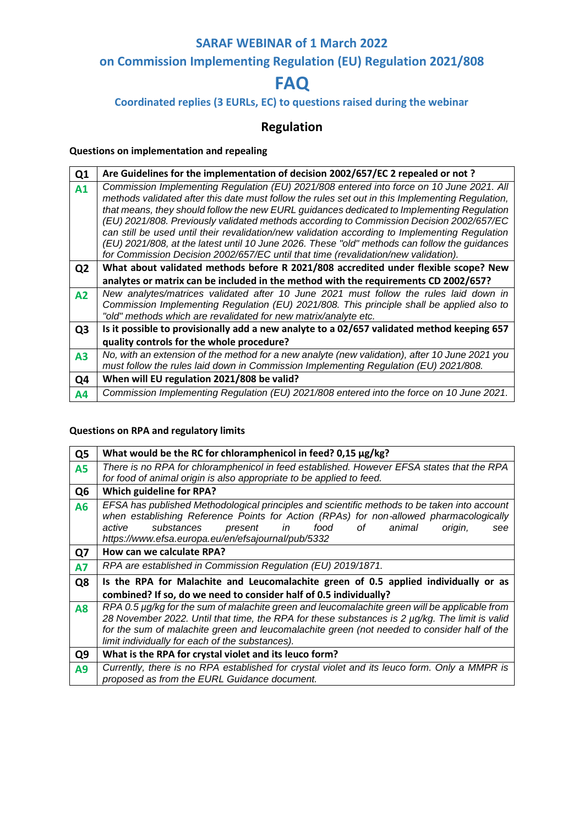# **on Commission Implementing Regulation (EU) Regulation 2021/808**

# **FAQ**

### **Coordinated replies (3 EURLs, EC) to questions raised during the webinar**

# **Regulation**

#### **Questions on implementation and repealing**

| Q <sub>1</sub> | Are Guidelines for the implementation of decision 2002/657/EC 2 repealed or not?                                                                                                                                                                                                                                                                                                                                                                                                                                                                                                                                                                                                |
|----------------|---------------------------------------------------------------------------------------------------------------------------------------------------------------------------------------------------------------------------------------------------------------------------------------------------------------------------------------------------------------------------------------------------------------------------------------------------------------------------------------------------------------------------------------------------------------------------------------------------------------------------------------------------------------------------------|
| A1             | Commission Implementing Regulation (EU) 2021/808 entered into force on 10 June 2021. All<br>methods validated after this date must follow the rules set out in this Implementing Regulation,<br>that means, they should follow the new EURL guidances dedicated to Implementing Regulation<br>(EU) 2021/808. Previously validated methods according to Commission Decision 2002/657/EC<br>can still be used until their revalidation/new validation according to Implementing Regulation<br>(EU) 2021/808, at the latest until 10 June 2026. These "old" methods can follow the guidances<br>for Commission Decision 2002/657/EC until that time (revalidation/new validation). |
| Q <sub>2</sub> | What about validated methods before R 2021/808 accredited under flexible scope? New                                                                                                                                                                                                                                                                                                                                                                                                                                                                                                                                                                                             |
|                | analytes or matrix can be included in the method with the requirements CD 2002/657?                                                                                                                                                                                                                                                                                                                                                                                                                                                                                                                                                                                             |
| A2             | New analytes/matrices validated after 10 June 2021 must follow the rules laid down in<br>Commission Implementing Regulation (EU) 2021/808. This principle shall be applied also to                                                                                                                                                                                                                                                                                                                                                                                                                                                                                              |
|                | "old" methods which are revalidated for new matrix/analyte etc.                                                                                                                                                                                                                                                                                                                                                                                                                                                                                                                                                                                                                 |
| Q <sub>3</sub> | Is it possible to provisionally add a new analyte to a 02/657 validated method keeping 657                                                                                                                                                                                                                                                                                                                                                                                                                                                                                                                                                                                      |
|                | quality controls for the whole procedure?                                                                                                                                                                                                                                                                                                                                                                                                                                                                                                                                                                                                                                       |
| A3             | No, with an extension of the method for a new analyte (new validation), after 10 June 2021 you<br>must follow the rules laid down in Commission Implementing Regulation (EU) 2021/808.                                                                                                                                                                                                                                                                                                                                                                                                                                                                                          |
| Q4             | When will EU regulation 2021/808 be valid?                                                                                                                                                                                                                                                                                                                                                                                                                                                                                                                                                                                                                                      |
| Α4             | Commission Implementing Regulation (EU) 2021/808 entered into the force on 10 June 2021.                                                                                                                                                                                                                                                                                                                                                                                                                                                                                                                                                                                        |

#### **Questions on RPA and regulatory limits**

| Q <sub>5</sub> | What would be the RC for chloramphenicol in feed? 0,15 µg/kg?                                                                                                                                                                                                                                                                                       |
|----------------|-----------------------------------------------------------------------------------------------------------------------------------------------------------------------------------------------------------------------------------------------------------------------------------------------------------------------------------------------------|
| A5             | There is no RPA for chloramphenicol in feed established. However EFSA states that the RPA<br>for food of animal origin is also appropriate to be applied to feed.                                                                                                                                                                                   |
| Q <sub>6</sub> | Which guideline for RPA?                                                                                                                                                                                                                                                                                                                            |
| Α6             | EFSA has published Methodological principles and scientific methods to be taken into account<br>when establishing Reference Points for Action (RPAs) for non-allowed pharmacologically<br>in food<br>substances<br>animal<br>present<br>of the contract of $\sim$<br>active<br>origin,<br>see<br>https://www.efsa.europa.eu/en/efsajournal/pub/5332 |
| Q7             | How can we calculate RPA?                                                                                                                                                                                                                                                                                                                           |
| A7             | RPA are established in Commission Regulation (EU) 2019/1871.                                                                                                                                                                                                                                                                                        |
| Q8             | Is the RPA for Malachite and Leucomalachite green of 0.5 applied individually or as<br>combined? If so, do we need to consider half of 0.5 individually?                                                                                                                                                                                            |
| <b>A8</b>      | RPA 0.5 µg/kg for the sum of malachite green and leucomalachite green will be applicable from<br>28 November 2022. Until that time, the RPA for these substances is 2 µg/kg. The limit is valid<br>for the sum of malachite green and leucomalachite green (not needed to consider half of the<br>limit individually for each of the substances).   |
| Q <sub>9</sub> | What is the RPA for crystal violet and its leuco form?                                                                                                                                                                                                                                                                                              |
| A9             | Currently, there is no RPA established for crystal violet and its leuco form. Only a MMPR is<br>proposed as from the EURL Guidance document.                                                                                                                                                                                                        |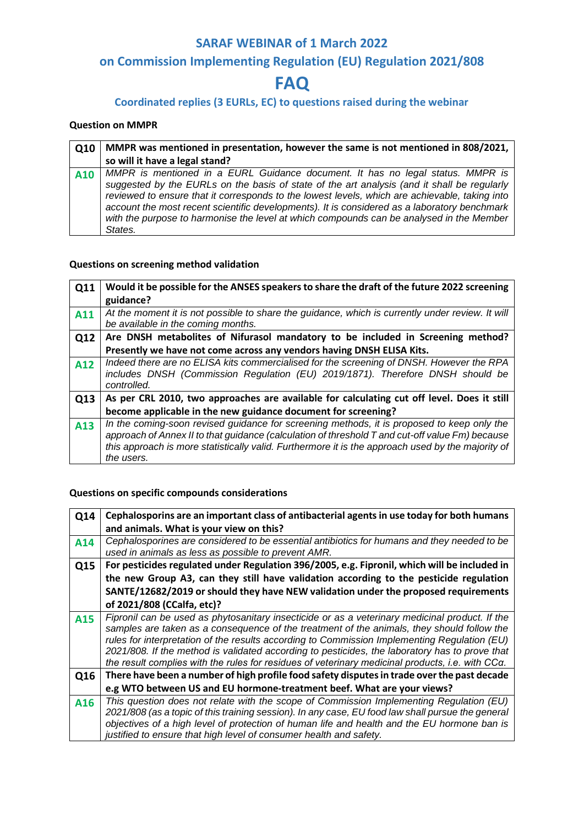# **on Commission Implementing Regulation (EU) Regulation 2021/808**

# **FAQ**

## **Coordinated replies (3 EURLs, EC) to questions raised during the webinar**

#### **Question on MMPR**

| Q10 | MMPR was mentioned in presentation, however the same is not mentioned in 808/2021,                                                                                                                                                                                                                                                                                                                                                                                                     |
|-----|----------------------------------------------------------------------------------------------------------------------------------------------------------------------------------------------------------------------------------------------------------------------------------------------------------------------------------------------------------------------------------------------------------------------------------------------------------------------------------------|
|     | so will it have a legal stand?                                                                                                                                                                                                                                                                                                                                                                                                                                                         |
| A10 | MMPR is mentioned in a EURL Guidance document. It has no legal status. MMPR is<br>suggested by the EURLs on the basis of state of the art analysis (and it shall be regularly<br>reviewed to ensure that it corresponds to the lowest levels, which are achievable, taking into<br>account the most recent scientific developments). It is considered as a laboratory benchmark<br>with the purpose to harmonise the level at which compounds can be analysed in the Member<br>States. |

#### **Questions on screening method validation**

| Q11 | Would it be possible for the ANSES speakers to share the draft of the future 2022 screening                                                                                                                                                                                                                      |
|-----|------------------------------------------------------------------------------------------------------------------------------------------------------------------------------------------------------------------------------------------------------------------------------------------------------------------|
|     | guidance?                                                                                                                                                                                                                                                                                                        |
| A11 | At the moment it is not possible to share the guidance, which is currently under review. It will<br>be available in the coming months.                                                                                                                                                                           |
| Q12 | Are DNSH metabolites of Nifurasol mandatory to be included in Screening method?                                                                                                                                                                                                                                  |
|     | Presently we have not come across any vendors having DNSH ELISA Kits.                                                                                                                                                                                                                                            |
| A12 | Indeed there are no ELISA kits commercialised for the screening of DNSH. However the RPA<br>includes DNSH (Commission Regulation (EU) 2019/1871). Therefore DNSH should be<br>controlled.                                                                                                                        |
| Q13 | As per CRL 2010, two approaches are available for calculating cut off level. Does it still                                                                                                                                                                                                                       |
|     | become applicable in the new guidance document for screening?                                                                                                                                                                                                                                                    |
| A13 | In the coming-soon revised guidance for screening methods, it is proposed to keep only the<br>approach of Annex II to that guidance (calculation of threshold T and cut-off value Fm) because<br>this approach is more statistically valid. Furthermore it is the approach used by the majority of<br>the users. |

#### **Questions on specific compounds considerations**

| Q14 | Cephalosporins are an important class of antibacterial agents in use today for both humans        |
|-----|---------------------------------------------------------------------------------------------------|
|     | and animals. What is your view on this?                                                           |
| A14 | Cephalosporines are considered to be essential antibiotics for humans and they needed to be       |
|     | used in animals as less as possible to prevent AMR.                                               |
| Q15 | For pesticides regulated under Regulation 396/2005, e.g. Fipronil, which will be included in      |
|     | the new Group A3, can they still have validation according to the pesticide regulation            |
|     | SANTE/12682/2019 or should they have NEW validation under the proposed requirements               |
|     | of 2021/808 (CCalfa, etc)?                                                                        |
| A15 | Fipronil can be used as phytosanitary insecticide or as a veterinary medicinal product. If the    |
|     | samples are taken as a consequence of the treatment of the animals, they should follow the        |
|     | rules for interpretation of the results according to Commission Implementing Regulation (EU)      |
|     | 2021/808. If the method is validated according to pesticides, the laboratory has to prove that    |
|     | the result complies with the rules for residues of veterinary medicinal products, i.e. with CCa.  |
| Q16 | There have been a number of high profile food safety disputes in trade over the past decade       |
|     | e.g WTO between US and EU hormone-treatment beef. What are your views?                            |
| A16 | This question does not relate with the scope of Commission Implementing Regulation (EU)           |
|     | 2021/808 (as a topic of this training session). In any case, EU food law shall pursue the general |
|     | objectives of a high level of protection of human life and health and the EU hormone ban is       |
|     | justified to ensure that high level of consumer health and safety.                                |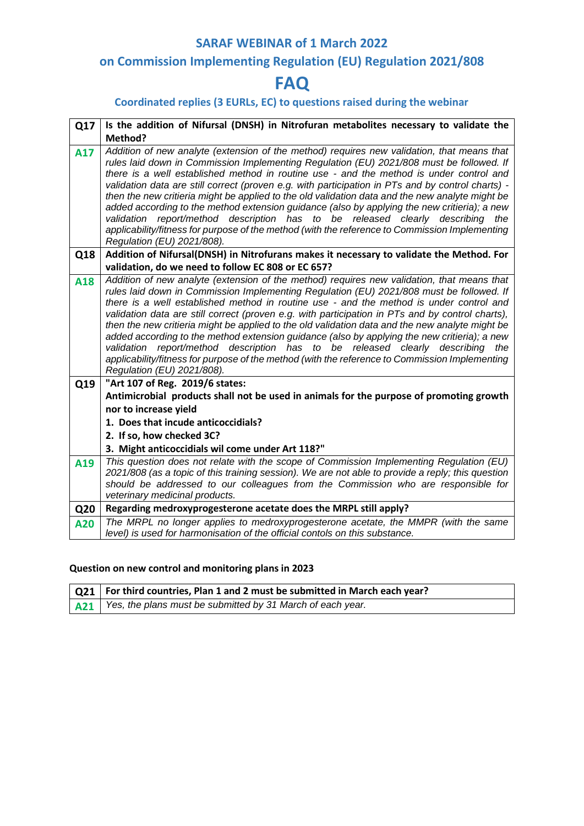# **on Commission Implementing Regulation (EU) Regulation 2021/808**

# **FAQ**

## **Coordinated replies (3 EURLs, EC) to questions raised during the webinar**

| Q17 | Is the addition of Nifursal (DNSH) in Nitrofuran metabolites necessary to validate the                                                                                                                                                                                                                                                                                                                                                                                                                                                                                                                                                                                                                                                                                                                      |
|-----|-------------------------------------------------------------------------------------------------------------------------------------------------------------------------------------------------------------------------------------------------------------------------------------------------------------------------------------------------------------------------------------------------------------------------------------------------------------------------------------------------------------------------------------------------------------------------------------------------------------------------------------------------------------------------------------------------------------------------------------------------------------------------------------------------------------|
|     | Method?                                                                                                                                                                                                                                                                                                                                                                                                                                                                                                                                                                                                                                                                                                                                                                                                     |
| A17 | Addition of new analyte (extension of the method) requires new validation, that means that<br>rules laid down in Commission Implementing Regulation (EU) 2021/808 must be followed. If<br>there is a well established method in routine use - and the method is under control and<br>validation data are still correct (proven e.g. with participation in PTs and by control charts) -<br>then the new critieria might be applied to the old validation data and the new analyte might be<br>added according to the method extension guidance (also by applying the new critieria); a new<br>validation report/method description has to be released clearly describing the<br>applicability/fitness for purpose of the method (with the reference to Commission Implementing<br>Regulation (EU) 2021/808). |
| Q18 | Addition of Nifursal(DNSH) in Nitrofurans makes it necessary to validate the Method. For                                                                                                                                                                                                                                                                                                                                                                                                                                                                                                                                                                                                                                                                                                                    |
|     | validation, do we need to follow EC 808 or EC 657?                                                                                                                                                                                                                                                                                                                                                                                                                                                                                                                                                                                                                                                                                                                                                          |
| A18 | Addition of new analyte (extension of the method) requires new validation, that means that<br>rules laid down in Commission Implementing Regulation (EU) 2021/808 must be followed. If<br>there is a well established method in routine use - and the method is under control and<br>validation data are still correct (proven e.g. with participation in PTs and by control charts),<br>then the new critieria might be applied to the old validation data and the new analyte might be<br>added according to the method extension guidance (also by applying the new critieria); a new<br>validation report/method description has to be released clearly describing the<br>applicability/fitness for purpose of the method (with the reference to Commission Implementing<br>Regulation (EU) 2021/808).  |
| Q19 | "Art 107 of Reg. 2019/6 states:                                                                                                                                                                                                                                                                                                                                                                                                                                                                                                                                                                                                                                                                                                                                                                             |
|     | Antimicrobial products shall not be used in animals for the purpose of promoting growth                                                                                                                                                                                                                                                                                                                                                                                                                                                                                                                                                                                                                                                                                                                     |
|     | nor to increase yield                                                                                                                                                                                                                                                                                                                                                                                                                                                                                                                                                                                                                                                                                                                                                                                       |
|     | 1. Does that incude anticoccidials?                                                                                                                                                                                                                                                                                                                                                                                                                                                                                                                                                                                                                                                                                                                                                                         |
|     | 2. If so, how checked 3C?                                                                                                                                                                                                                                                                                                                                                                                                                                                                                                                                                                                                                                                                                                                                                                                   |
|     | 3. Might anticoccidials wil come under Art 118?"                                                                                                                                                                                                                                                                                                                                                                                                                                                                                                                                                                                                                                                                                                                                                            |
| A19 | This question does not relate with the scope of Commission Implementing Regulation (EU)<br>2021/808 (as a topic of this training session). We are not able to provide a reply; this question<br>should be addressed to our colleagues from the Commission who are responsible for<br>veterinary medicinal products.                                                                                                                                                                                                                                                                                                                                                                                                                                                                                         |
| Q20 | Regarding medroxyprogesterone acetate does the MRPL still apply?                                                                                                                                                                                                                                                                                                                                                                                                                                                                                                                                                                                                                                                                                                                                            |
| A20 | The MRPL no longer applies to medroxyprogesterone acetate, the MMPR (with the same<br>level) is used for harmonisation of the official contols on this substance.                                                                                                                                                                                                                                                                                                                                                                                                                                                                                                                                                                                                                                           |

#### **Question on new control and monitoring plans in 2023**

| Q21   For third countries, Plan 1 and 2 must be submitted in March each year? |
|-------------------------------------------------------------------------------|
| A21 Yes, the plans must be submitted by 31 March of each year.                |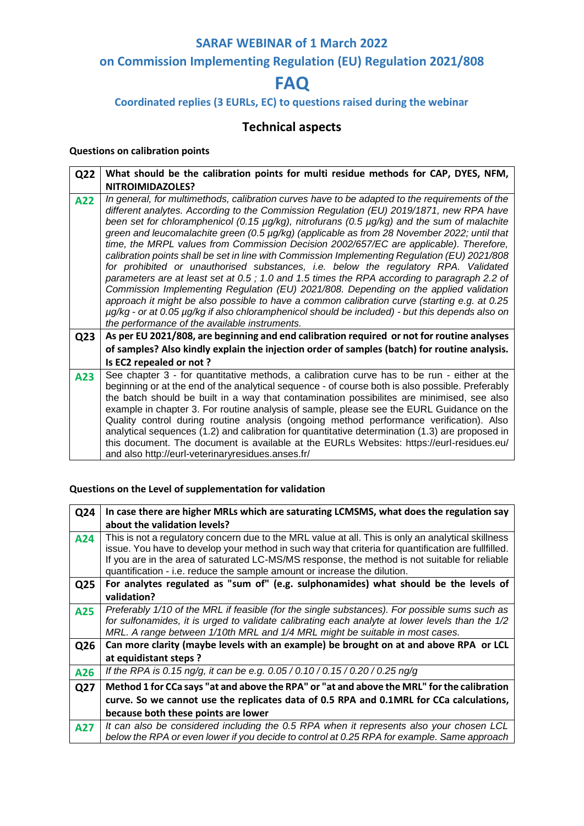# **on Commission Implementing Regulation (EU) Regulation 2021/808**

# **FAQ**

## **Coordinated replies (3 EURLs, EC) to questions raised during the webinar**

# **Technical aspects**

#### **Questions on calibration points**

| Q22             | What should be the calibration points for multi residue methods for CAP, DYES, NFM,                                                                                                                                                                                                                                                                                                                                                                                                                                                                                                                                                                                                                                                                                                                                                                                                                                                                                                                                                                                                                                   |
|-----------------|-----------------------------------------------------------------------------------------------------------------------------------------------------------------------------------------------------------------------------------------------------------------------------------------------------------------------------------------------------------------------------------------------------------------------------------------------------------------------------------------------------------------------------------------------------------------------------------------------------------------------------------------------------------------------------------------------------------------------------------------------------------------------------------------------------------------------------------------------------------------------------------------------------------------------------------------------------------------------------------------------------------------------------------------------------------------------------------------------------------------------|
|                 | NITROIMIDAZOLES?                                                                                                                                                                                                                                                                                                                                                                                                                                                                                                                                                                                                                                                                                                                                                                                                                                                                                                                                                                                                                                                                                                      |
| A22             | In general, for multimethods, calibration curves have to be adapted to the requirements of the<br>different analytes. According to the Commission Regulation (EU) 2019/1871, new RPA have<br>been set for chloramphenicol (0.15 µg/kg), nitrofurans (0.5 µg/kg) and the sum of malachite<br>green and leucomalachite green (0.5 µg/kg) (applicable as from 28 November 2022; until that<br>time, the MRPL values from Commission Decision 2002/657/EC are applicable). Therefore,<br>calibration points shall be set in line with Commission Implementing Regulation (EU) 2021/808<br>for prohibited or unauthorised substances, i.e. below the regulatory RPA. Validated<br>parameters are at least set at 0.5; 1.0 and 1.5 times the RPA according to paragraph 2.2 of<br>Commission Implementing Regulation (EU) 2021/808. Depending on the applied validation<br>approach it might be also possible to have a common calibration curve (starting e.g. at 0.25<br>µg/kg - or at 0.05 µg/kg if also chloramphenicol should be included) - but this depends also on<br>the performance of the available instruments. |
| Q <sub>23</sub> | As per EU 2021/808, are beginning and end calibration required or not for routine analyses                                                                                                                                                                                                                                                                                                                                                                                                                                                                                                                                                                                                                                                                                                                                                                                                                                                                                                                                                                                                                            |
|                 | of samples? Also kindly explain the injection order of samples (batch) for routine analysis.                                                                                                                                                                                                                                                                                                                                                                                                                                                                                                                                                                                                                                                                                                                                                                                                                                                                                                                                                                                                                          |
|                 | Is EC2 repealed or not?                                                                                                                                                                                                                                                                                                                                                                                                                                                                                                                                                                                                                                                                                                                                                                                                                                                                                                                                                                                                                                                                                               |
| A23             | See chapter 3 - for quantitative methods, a calibration curve has to be run - either at the<br>beginning or at the end of the analytical sequence - of course both is also possible. Preferably<br>the batch should be built in a way that contamination possibilites are minimised, see also<br>example in chapter 3. For routine analysis of sample, please see the EURL Guidance on the<br>Quality control during routine analysis (ongoing method performance verification). Also<br>analytical sequences (1.2) and calibration for quantitative determination (1.3) are proposed in<br>this document. The document is available at the EURLs Websites: https://eurl-residues.eu/<br>and also http://eurl-veterinaryresidues.anses.fr/                                                                                                                                                                                                                                                                                                                                                                            |

## **Questions on the Level of supplementation for validation**

| Q24 | In case there are higher MRLs which are saturating LCMSMS, what does the regulation say                                                                                                                                                                                                                                                                                                 |
|-----|-----------------------------------------------------------------------------------------------------------------------------------------------------------------------------------------------------------------------------------------------------------------------------------------------------------------------------------------------------------------------------------------|
|     | about the validation levels?                                                                                                                                                                                                                                                                                                                                                            |
| A24 | This is not a regulatory concern due to the MRL value at all. This is only an analytical skillness<br>issue. You have to develop your method in such way that criteria for quantification are fullfilled.<br>If you are in the area of saturated LC-MS/MS response, the method is not suitable for reliable<br>quantification - i.e. reduce the sample amount or increase the dilution. |
| Q25 | For analytes regulated as "sum of" (e.g. sulphonamides) what should be the levels of                                                                                                                                                                                                                                                                                                    |
|     | validation?                                                                                                                                                                                                                                                                                                                                                                             |
| A25 | Preferably 1/10 of the MRL if feasible (for the single substances). For possible sums such as<br>for sulfonamides, it is urged to validate calibrating each analyte at lower levels than the 1/2<br>MRL. A range between 1/10th MRL and 1/4 MRL might be suitable in most cases.                                                                                                        |
| Q26 | Can more clarity (maybe levels with an example) be brought on at and above RPA or LCL                                                                                                                                                                                                                                                                                                   |
|     | at equidistant steps?                                                                                                                                                                                                                                                                                                                                                                   |
| A26 | If the RPA is 0.15 ng/g, it can be e.g. 0.05 / 0.10 / 0.15 / 0.20 / 0.25 ng/g                                                                                                                                                                                                                                                                                                           |
| Q27 | Method 1 for CCa says "at and above the RPA" or "at and above the MRL" for the calibration                                                                                                                                                                                                                                                                                              |
|     | curve. So we cannot use the replicates data of 0.5 RPA and 0.1MRL for CCa calculations,                                                                                                                                                                                                                                                                                                 |
|     | because both these points are lower                                                                                                                                                                                                                                                                                                                                                     |
| A27 | It can also be considered including the 0.5 RPA when it represents also your chosen LCL<br>below the RPA or even lower if you decide to control at 0.25 RPA for example. Same approach                                                                                                                                                                                                  |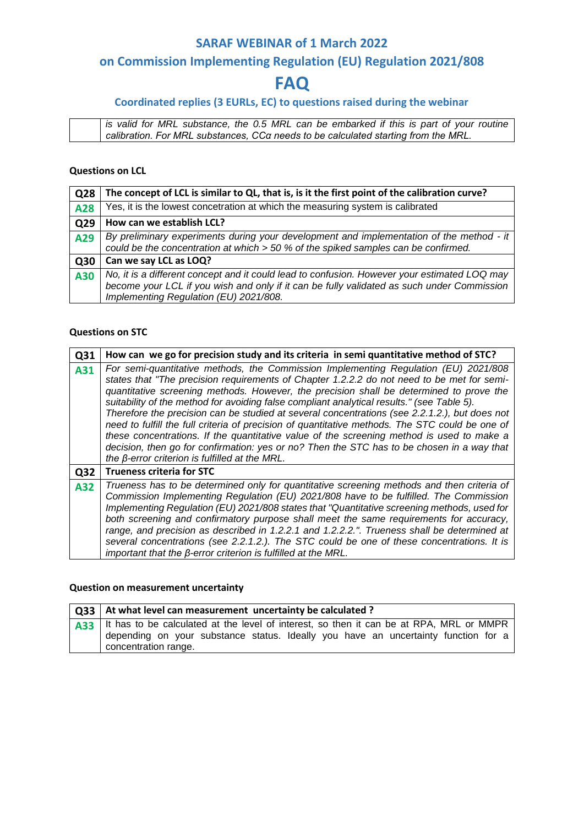## **on Commission Implementing Regulation (EU) Regulation 2021/808**

# **FAQ**

## **Coordinated replies (3 EURLs, EC) to questions raised during the webinar**

*is valid for MRL substance, the 0.5 MRL can be embarked if this is part of your routine calibration. For MRL substances, CCα needs to be calculated starting from the MRL.*

#### **Questions on LCL**

| Q28 | The concept of LCL is similar to QL, that is, is it the first point of the calibration curve?                                                                                                                                        |
|-----|--------------------------------------------------------------------------------------------------------------------------------------------------------------------------------------------------------------------------------------|
| A28 | Yes, it is the lowest concetration at which the measuring system is calibrated                                                                                                                                                       |
| Q29 | How can we establish LCL?                                                                                                                                                                                                            |
| A29 | By preliminary experiments during your development and implementation of the method - it<br>could be the concentration at which $>$ 50 % of the spiked samples can be confirmed.                                                     |
| Q30 | Can we say LCL as LOQ?                                                                                                                                                                                                               |
| A30 | No, it is a different concept and it could lead to confusion. However your estimated LOQ may<br>become your LCL if you wish and only if it can be fully validated as such under Commission<br>Implementing Regulation (EU) 2021/808. |

#### **Questions on STC**

| Q31 | How can we go for precision study and its criteria in semi quantitative method of STC?                                                                                                                                                                                                                                                                                                                                                                                                                                                                                                                                                                                                                                                                                                                                             |
|-----|------------------------------------------------------------------------------------------------------------------------------------------------------------------------------------------------------------------------------------------------------------------------------------------------------------------------------------------------------------------------------------------------------------------------------------------------------------------------------------------------------------------------------------------------------------------------------------------------------------------------------------------------------------------------------------------------------------------------------------------------------------------------------------------------------------------------------------|
| A31 | For semi-quantitative methods, the Commission Implementing Regulation (EU) 2021/808<br>states that "The precision requirements of Chapter 1.2.2.2 do not need to be met for semi-<br>quantitative screening methods. However, the precision shall be determined to prove the<br>suitability of the method for avoiding false compliant analytical results." (see Table 5).<br>Therefore the precision can be studied at several concentrations (see 2.2.1.2.), but does not<br>need to fulfill the full criteria of precision of quantitative methods. The STC could be one of<br>these concentrations. If the quantitative value of the screening method is used to make a<br>decision, then go for confirmation: yes or no? Then the STC has to be chosen in a way that<br>the $\beta$ -error criterion is fulfilled at the MRL. |
| Q32 | <b>Trueness criteria for STC</b>                                                                                                                                                                                                                                                                                                                                                                                                                                                                                                                                                                                                                                                                                                                                                                                                   |
| A32 | Trueness has to be determined only for quantitative screening methods and then criteria of<br>Commission Implementing Regulation (EU) 2021/808 have to be fulfilled. The Commission<br>Implementing Regulation (EU) 2021/808 states that "Quantitative screening methods, used for<br>both screening and confirmatory purpose shall meet the same requirements for accuracy,<br>range, and precision as described in 1.2.2.1 and 1.2.2.2.". Trueness shall be determined at<br>several concentrations (see 2.2.1.2.). The STC could be one of these concentrations. It is<br>important that the $\beta$ -error criterion is fulfilled at the MRL.                                                                                                                                                                                  |

#### **Question on measurement uncertainty**

| Q33   At what level can measurement uncertainty be calculated ?                                                                                                                     |
|-------------------------------------------------------------------------------------------------------------------------------------------------------------------------------------|
| A33   It has to be calculated at the level of interest, so then it can be at RPA, MRL or MMPR<br>depending on your substance status. Ideally you have an uncertainty function for a |
| concentration range.                                                                                                                                                                |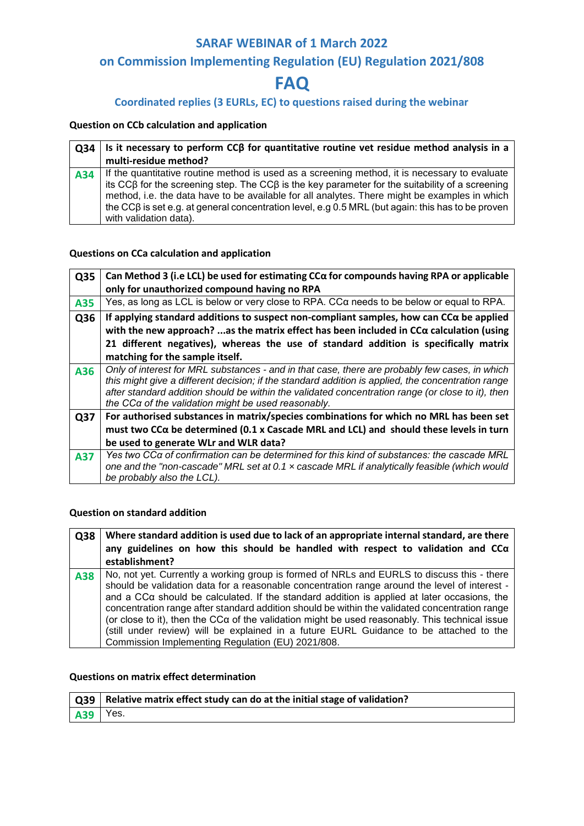## **on Commission Implementing Regulation (EU) Regulation 2021/808**

# **FAQ**

### **Coordinated replies (3 EURLs, EC) to questions raised during the webinar**

#### **Question on CCb calculation and application**

| O34 | Is it necessary to perform $CCB$ for quantitative routine vet residue method analysis in a                                                                                                                                                                                                                                                                                                                                                          |
|-----|-----------------------------------------------------------------------------------------------------------------------------------------------------------------------------------------------------------------------------------------------------------------------------------------------------------------------------------------------------------------------------------------------------------------------------------------------------|
|     | multi-residue method?                                                                                                                                                                                                                                                                                                                                                                                                                               |
| A34 | If the quantitative routine method is used as a screening method, it is necessary to evaluate<br>its $CC\beta$ for the screening step. The $CC\beta$ is the key parameter for the suitability of a screening<br>method, i.e. the data have to be available for all analytes. There might be examples in which<br>the CC $\beta$ is set e.g. at general concentration level, e.g 0.5 MRL (but again: this has to be proven<br>with validation data). |

#### **Questions on CCa calculation and application**

| Q35 | Can Method 3 (i.e LCL) be used for estimating $CCA$ for compounds having RPA or applicable                                                               |
|-----|----------------------------------------------------------------------------------------------------------------------------------------------------------|
|     | only for unauthorized compound having no RPA                                                                                                             |
| A35 | Yes, as long as LCL is below or very close to RPA. CCa needs to be below or equal to RPA.                                                                |
| Q36 | If applying standard additions to suspect non-compliant samples, how can $CC\alpha$ be applied                                                           |
|     | with the new approach? as the matrix effect has been included in $CC\alpha$ calculation (using                                                           |
|     | 21 different negatives), whereas the use of standard addition is specifically matrix                                                                     |
|     | matching for the sample itself.                                                                                                                          |
| A36 | Only of interest for MRL substances - and in that case, there are probably few cases, in which                                                           |
|     | this might give a different decision; if the standard addition is applied, the concentration range                                                       |
|     | after standard addition should be within the validated concentration range (or close to it), then<br>the CCa of the validation might be used reasonably. |
|     | For authorised substances in matrix/species combinations for which no MRL has been set                                                                   |
| Q37 |                                                                                                                                                          |
|     | must two CCα be determined (0.1 x Cascade MRL and LCL) and should these levels in turn                                                                   |
|     | be used to generate WLr and WLR data?                                                                                                                    |
| A37 | Yes two CCa of confirmation can be determined for this kind of substances: the cascade MRL                                                               |
|     | one and the "non-cascade" MRL set at 0.1 $\times$ cascade MRL if analytically feasible (which would                                                      |
|     | be probably also the LCL).                                                                                                                               |

#### **Question on standard addition**

| Q38 | Where standard addition is used due to lack of an appropriate internal standard, are there<br>any guidelines on how this should be handled with respect to validation and $CC\alpha$<br>establishment?                                                                                                                                                                                                                                                                                                                                                                                                                                                 |
|-----|--------------------------------------------------------------------------------------------------------------------------------------------------------------------------------------------------------------------------------------------------------------------------------------------------------------------------------------------------------------------------------------------------------------------------------------------------------------------------------------------------------------------------------------------------------------------------------------------------------------------------------------------------------|
| A38 | No, not yet. Currently a working group is formed of NRLs and EURLS to discuss this - there<br>should be validation data for a reasonable concentration range around the level of interest -<br>and a CC $\alpha$ should be calculated. If the standard addition is applied at later occasions, the<br>concentration range after standard addition should be within the validated concentration range<br>(or close to it), then the CCa of the validation might be used reasonably. This technical issue<br>(still under review) will be explained in a future EURL Guidance to be attached to the<br>Commission Implementing Regulation (EU) 2021/808. |

#### **Questions on matrix effect determination**

|            | $\mid$ Q39 $\mid$ Relative matrix effect study can do at the initial stage of validation? |
|------------|-------------------------------------------------------------------------------------------|
| $A39$ Yes. |                                                                                           |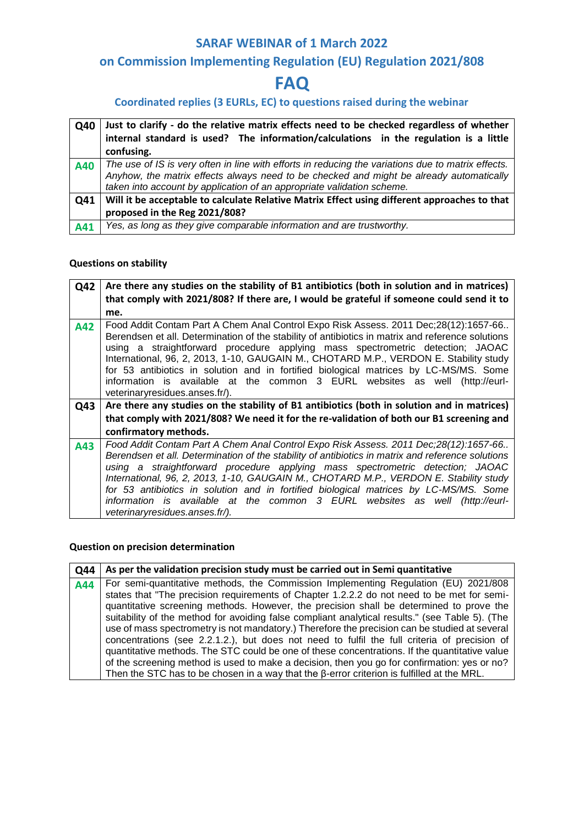# **on Commission Implementing Regulation (EU) Regulation 2021/808**

# **FAQ**

## **Coordinated replies (3 EURLs, EC) to questions raised during the webinar**

| Q40 | Just to clarify - do the relative matrix effects need to be checked regardless of whether                                                                                                                                                                               |
|-----|-------------------------------------------------------------------------------------------------------------------------------------------------------------------------------------------------------------------------------------------------------------------------|
|     | internal standard is used? The information/calculations in the regulation is a little                                                                                                                                                                                   |
|     | confusing.                                                                                                                                                                                                                                                              |
| A40 | The use of IS is very often in line with efforts in reducing the variations due to matrix effects.<br>Anyhow, the matrix effects always need to be checked and might be already automatically<br>taken into account by application of an appropriate validation scheme. |
| Q41 | Will it be acceptable to calculate Relative Matrix Effect using different approaches to that                                                                                                                                                                            |
|     | proposed in the Reg 2021/808?                                                                                                                                                                                                                                           |
| A41 | Yes, as long as they give comparable information and are trustworthy.                                                                                                                                                                                                   |

#### **Questions on stability**

| Q42 | Are there any studies on the stability of B1 antibiotics (both in solution and in matrices)                                                                                                                                                                                                                                                                                                                                                                                                                                                                                     |
|-----|---------------------------------------------------------------------------------------------------------------------------------------------------------------------------------------------------------------------------------------------------------------------------------------------------------------------------------------------------------------------------------------------------------------------------------------------------------------------------------------------------------------------------------------------------------------------------------|
|     | that comply with 2021/808? If there are, I would be grateful if someone could send it to                                                                                                                                                                                                                                                                                                                                                                                                                                                                                        |
|     | me.                                                                                                                                                                                                                                                                                                                                                                                                                                                                                                                                                                             |
| A42 | Food Addit Contam Part A Chem Anal Control Expo Risk Assess. 2011 Dec;28(12):1657-66<br>Berendsen et all. Determination of the stability of antibiotics in matrix and reference solutions<br>using a straightforward procedure applying mass spectrometric detection; JAOAC<br>International, 96, 2, 2013, 1-10, GAUGAIN M., CHOTARD M.P., VERDON E. Stability study<br>for 53 antibiotics in solution and in fortified biological matrices by LC-MS/MS. Some<br>information is available at the common 3 EURL websites as well (http://eurl-<br>veterinaryresidues.anses.fr/). |
| Q43 | Are there any studies on the stability of B1 antibiotics (both in solution and in matrices)                                                                                                                                                                                                                                                                                                                                                                                                                                                                                     |
|     | that comply with 2021/808? We need it for the re-validation of both our B1 screening and                                                                                                                                                                                                                                                                                                                                                                                                                                                                                        |
|     | confirmatory methods.                                                                                                                                                                                                                                                                                                                                                                                                                                                                                                                                                           |
|     |                                                                                                                                                                                                                                                                                                                                                                                                                                                                                                                                                                                 |

#### **Question on precision determination**

| <b>Q44</b> | As per the validation precision study must be carried out in Semi quantitative                    |
|------------|---------------------------------------------------------------------------------------------------|
| A44        | For semi-quantitative methods, the Commission Implementing Regulation (EU) 2021/808               |
|            | states that "The precision requirements of Chapter 1.2.2.2 do not need to be met for semi-        |
|            | quantitative screening methods. However, the precision shall be determined to prove the           |
|            | suitability of the method for avoiding false compliant analytical results." (see Table 5). (The   |
|            | use of mass spectrometry is not mandatory.) Therefore the precision can be studied at several     |
|            | concentrations (see 2.2.1.2.), but does not need to fulfil the full criteria of precision of      |
|            | quantitative methods. The STC could be one of these concentrations. If the quantitative value     |
|            | of the screening method is used to make a decision, then you go for confirmation: yes or no?      |
|            | Then the STC has to be chosen in a way that the $\beta$ -error criterion is fulfilled at the MRL. |